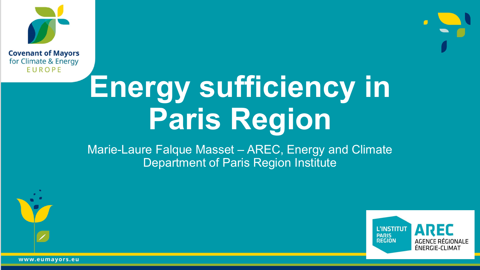



Marie-Laure Falque Masset – AREC, Energy and Climate Department of Paris Region Institute





www.eumayors.eu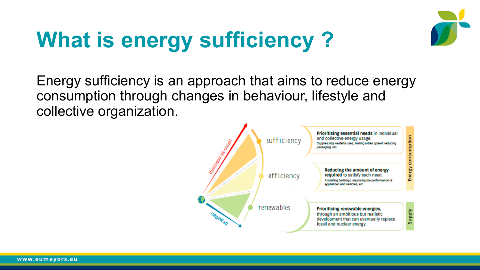

# **What is energy sufficiency ?**

Energy sufficiency is an approach that aims to reduce energy consumption through changes in behaviour, lifestyle and collective organization.

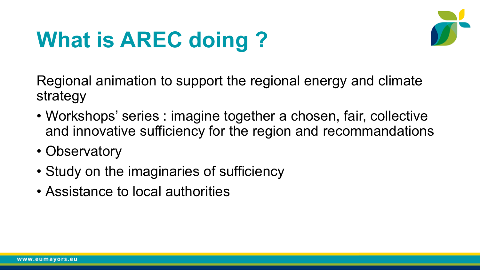# **What is AREC doing ?**



Regional animation to support the regional energy and climate strategy

- Workshops' series : imagine together a chosen, fair, collective and innovative sufficiency for the region and recommandations
- Observatory
- Study on the imaginaries of sufficiency
- Assistance to local authorities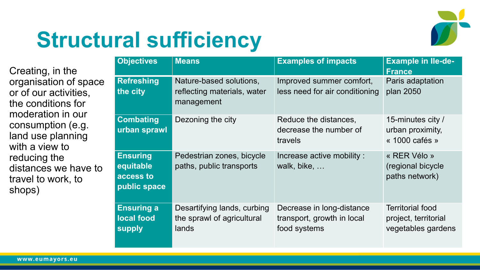

### **Structural sufficiency**

Creating, in the organisation of space or of our activities, the conditions for moderation in our consumption (e.g. land use planning with a view to reducing the distances we have to travel to work, to shops)

| <b>Objectives</b>                                         | <b>Means</b>                                                         | <b>Examples of impacts</b>                                              | <b>Example in Ile-de-</b><br><b>France</b>                            |
|-----------------------------------------------------------|----------------------------------------------------------------------|-------------------------------------------------------------------------|-----------------------------------------------------------------------|
| <b>Refreshing</b><br>the city                             | Nature-based solutions,<br>reflecting materials, water<br>management | Improved summer comfort,<br>less need for air conditioning              | Paris adaptation<br>plan 2050                                         |
| <b>Combating</b><br>urban sprawl                          | Dezoning the city                                                    | Reduce the distances,<br>decrease the number of<br>travels              | 15-minutes city /<br>urban proximity,<br>« 1000 cafés »               |
| <b>Ensuring</b><br>equitable<br>access to<br>public space | Pedestrian zones, bicycle<br>paths, public transports                | Increase active mobility :<br>walk, bike,                               | « RER Vélo »<br>(regional bicycle<br>paths network)                   |
| <b>Ensuring a</b><br>local food<br>supply                 | Desartifying lands, curbing<br>the sprawl of agricultural<br>lands   | Decrease in long-distance<br>transport, growth in local<br>food systems | <b>Territorial food</b><br>project, territorial<br>vegetables gardens |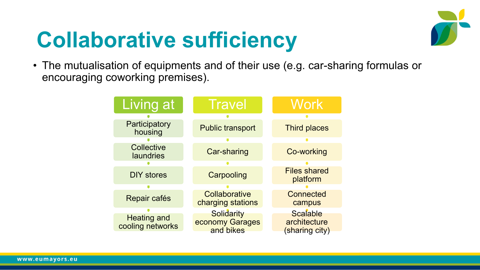### **Collaborative sufficiency**



• The mutualisation of equipments and of their use (e.g. car-sharing formulas or encouraging coworking premises).

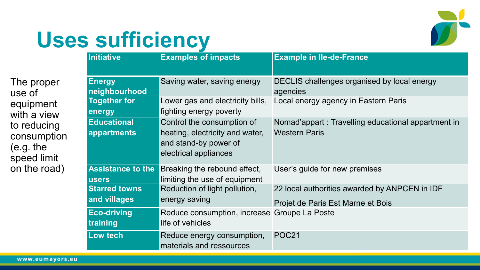

### **Uses sufficiency**

|                                                                                                                            | <b>Initiative</b>                        | <b>Examples of impacts</b>                                                                                      | <b>Example in Ile-de-France</b>                                                    |
|----------------------------------------------------------------------------------------------------------------------------|------------------------------------------|-----------------------------------------------------------------------------------------------------------------|------------------------------------------------------------------------------------|
| The proper<br>use of<br>equipment<br>with a view<br>to reducing<br>consumption<br>(e.g. the<br>speed limit<br>on the road) | <b>Energy</b><br>neighbourhood           | Saving water, saving energy                                                                                     | DECLIS challenges organised by local energy<br>agencies                            |
|                                                                                                                            | <b>Together for</b><br>energy            | Lower gas and electricity bills,<br>fighting energy poverty                                                     | Local energy agency in Eastern Paris                                               |
|                                                                                                                            | <b>Educational</b><br>appartments        | Control the consumption of<br>heating, electricity and water,<br>and stand-by power of<br>electrical appliances | Nomad'appart : Travelling educational appartment in<br><b>Western Paris</b>        |
|                                                                                                                            | <b>Assistance to the</b><br><b>users</b> | Breaking the rebound effect,<br>limiting the use of equipment                                                   | User's guide for new premises                                                      |
|                                                                                                                            | <b>Starred towns</b><br>and villages     | Reduction of light pollution,<br>energy saving                                                                  | 22 local authorities awarded by ANPCEN in IDF<br>Projet de Paris Est Marne et Bois |
|                                                                                                                            | <b>Eco-driving</b><br>training           | Reduce consumption, increase Groupe La Poste<br>life of vehicles                                                |                                                                                    |
|                                                                                                                            | Low tech                                 | Reduce energy consumption,<br>materials and ressources                                                          | <b>POC21</b>                                                                       |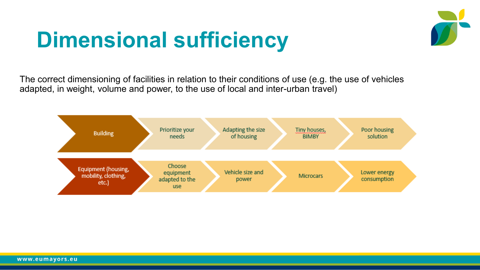## **Dimensional sufficiency**



The correct dimensioning of facilities in relation to their conditions of use (e.g. the use of vehicles adapted, in weight, volume and power, to the use of local and inter-urban travel)

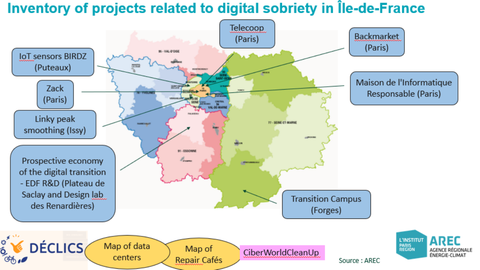#### Inventory of projects related to digital sobriety in Île-de-France

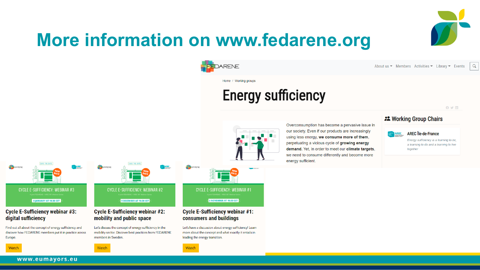

#### **More information on www.fedarene.org**